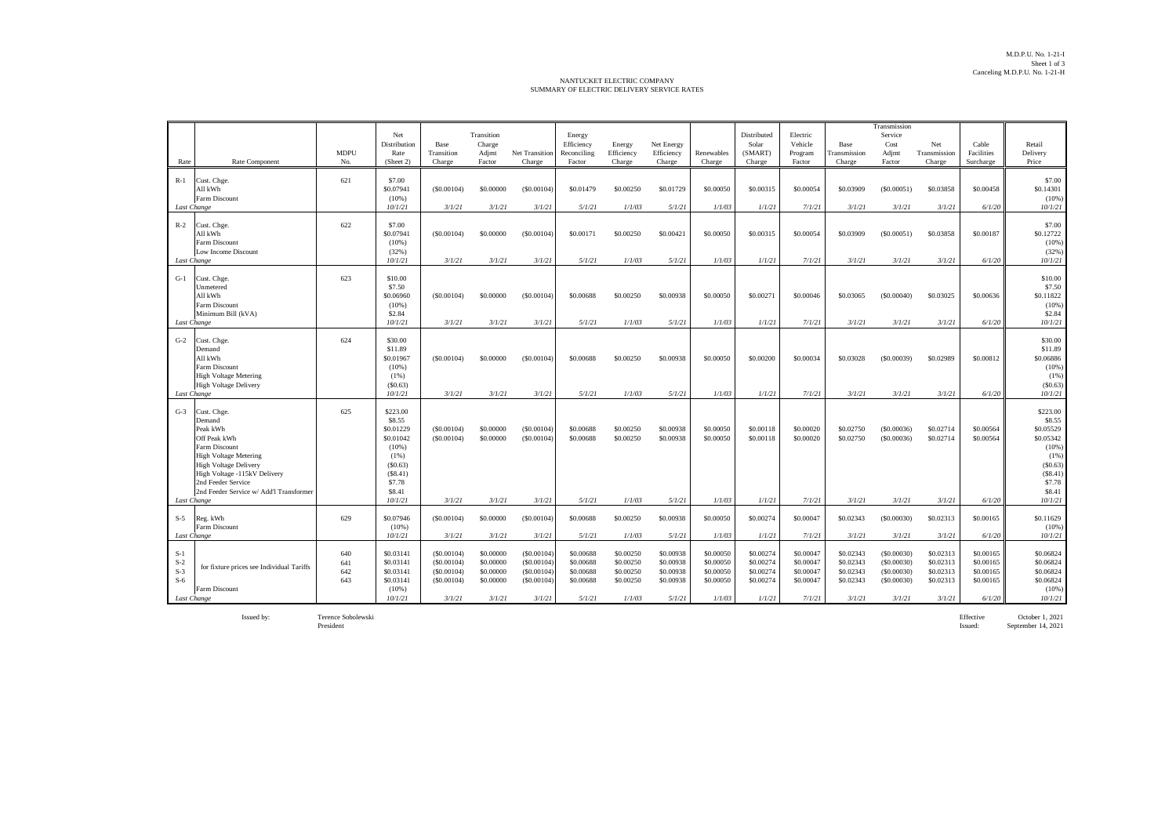## NANTUCKET ELECTRIC COMPANY SUMMARY OF ELECTRIC DELIVERY SERVICE RATES

| Rate                             | Rate Component                                                                                                                                                                                                                                     | <b>MDPU</b><br>No.       | Net<br>Distribution<br>Rate<br>(Sheet 2)                                                                             | Base<br>Transition<br>Charge                                   | Transition<br>Charge<br>Adjmt<br>Factor                    | Net Transition<br>Charge                                       | Energy<br>Efficiency<br>Reconciling<br>Factor              | Energy<br>Efficiency<br>Charge                             | Net Energy<br>Efficiency<br>Charge                         | Renewables<br>Charge                                       | Distributed<br>Solar<br>(SMART)<br>Charge                  | Electric<br>Vehicle<br>Program<br>Factor                   | Base<br>Transmission<br>Charge                             | Transmission<br>Service<br>Cost<br>Adjmt<br>Factor             | Net<br>Transmission<br>Charge                              | Cable<br>Facilities<br>Surcharge                           | Retail<br>Delivery<br>Price                                                                                            |
|----------------------------------|----------------------------------------------------------------------------------------------------------------------------------------------------------------------------------------------------------------------------------------------------|--------------------------|----------------------------------------------------------------------------------------------------------------------|----------------------------------------------------------------|------------------------------------------------------------|----------------------------------------------------------------|------------------------------------------------------------|------------------------------------------------------------|------------------------------------------------------------|------------------------------------------------------------|------------------------------------------------------------|------------------------------------------------------------|------------------------------------------------------------|----------------------------------------------------------------|------------------------------------------------------------|------------------------------------------------------------|------------------------------------------------------------------------------------------------------------------------|
| $R-1$                            | Cust. Chge.<br>All kWh<br>Farm Discount<br>Last Change                                                                                                                                                                                             | 621                      | \$7.00<br>\$0.07941<br>(10%<br>10/1/21                                                                               | (S0.00104)<br>3/1/21                                           | \$0,00000<br>3/1/21                                        | (S0.00104)<br>3/1/21                                           | \$0.01479<br>5/1/21                                        | \$0,00250<br>1/1/03                                        | \$0.01729<br>5/1/21                                        | \$0,00050<br>1/1/03                                        | \$0,00315<br>1/1/21                                        | \$0,00054<br>7/1/21                                        | \$0.03909<br>3/1/21                                        | (50.00051)<br>3/1/21                                           | \$0.03858<br>3/1/21                                        | \$0,00458<br>6/1/20                                        | \$7.00<br>\$0.14301<br>(10%)<br>10/1/21                                                                                |
| $R-2$                            | Cust. Chge.<br>All kWh<br>Farm Discount<br>Low Income Discount                                                                                                                                                                                     | 622                      | \$7.00<br>\$0.07941<br>(10%<br>(32%)                                                                                 | (S0.00104)                                                     | \$0,00000<br>3/1/21                                        | (S0.00104)<br>3/1/21                                           | \$0,00171<br>5/1/21                                        | \$0.00250                                                  | \$0.00421                                                  | \$0,00050                                                  | \$0.00315<br>1/1/21                                        | \$0,00054<br>7/1/21                                        | \$0.03909<br>3/1/21                                        | (S0.00051)<br>3/1/21                                           | \$0.03858                                                  | \$0.00187                                                  | \$7.00<br>\$0.12722<br>(10%<br>(32%)                                                                                   |
| $G-1$                            | Last Change<br>Cust. Chge.<br>Unmetered<br>All kWh<br>Farm Discount<br>Minimum Bill (kVA)<br>Last Change                                                                                                                                           | 623                      | 10/1/21<br>\$10.00<br>\$7.50<br>\$0.06960<br>(10%)<br>\$2.84<br>10/1/21                                              | 3/1/21<br>(S0.00104)<br>3/1/21                                 | \$0,00000<br>3/1/21                                        | (S0.00104)<br>3/1/21                                           | \$0,00688<br>5/1/21                                        | 1/1/03<br>\$0,00250<br>1/1/03                              | 5/1/21<br>\$0,00938<br>5/1/21                              | 1/1/03<br>\$0,00050<br>1/1/03                              | \$0,00271<br>1/1/21                                        | \$0,00046<br>7/1/21                                        | \$0.03065<br>3/1/21                                        | (S0.00040)<br>3/1/21                                           | 3/1/21<br>\$0.03025<br>3/1/21                              | 6/1/20<br>\$0.00636<br>6/1/20                              | 10/1/21<br>\$10.00<br>\$7.50<br>\$0.11822<br>(10%<br>\$2.84<br>10/1/21                                                 |
| $G-2$                            | Cust. Chge.<br>Demand<br>All kWh<br>Farm Discount<br><b>High Voltage Metering</b><br><b>High Voltage Delivery</b><br>Last Change                                                                                                                   | 624                      | \$30.00<br>\$11.89<br>\$0.01967<br>(10%<br>(1%)<br>(S0.63)<br>10/1/21                                                | (S0.00104)<br>3/1/21                                           | \$0,00000<br>3/1/21                                        | (S0.00104)<br>3/1/21                                           | \$0,00688<br>5/1/21                                        | \$0,00250<br>1/1/03                                        | \$0,00938<br>5/1/21                                        | \$0,00050<br>1/1/03                                        | \$0,00200<br>1/1/21                                        | \$0,00034<br>7/1/21                                        | \$0.03028<br>3/1/21                                        | (S0,00039)<br>3/1/21                                           | \$0.02989<br>3/1/21                                        | \$0,00812<br>6/1/20                                        | \$30.00<br>\$11.89<br>\$0.06886<br>(10%<br>(1%)<br>(\$0.63)<br>10/1/21                                                 |
| $G-3$                            | Cust. Chge.<br>Demand<br>Peak kWh<br>Off Peak kWh<br>Farm Discount<br><b>High Voltage Metering</b><br>High Voltage Delivery<br>High Voltage -115kV Delivery<br>2nd Feeder Service<br>2nd Feeder Service w/ Add'l Transformer<br><b>Last Change</b> | 625                      | \$223.00<br>\$8.55<br>\$0.01229<br>\$0.01042<br>(10%<br>$(1\%)$<br>(S0.63)<br>(S8.41)<br>\$7.78<br>\$8.41<br>10/1/21 | (S0.00104)<br>(S0.00104)<br>3/1/21                             | \$0,00000<br>\$0,00000<br>3/1/21                           | (S0.00104)<br>(S0,00104)<br>3/1/21                             | \$0,00688<br>\$0,00688<br>5/1/21                           | \$0,00250<br>\$0,00250<br>1/1/03                           | \$0,00938<br>\$0,00938<br>5/1/21                           | \$0,00050<br>\$0,00050<br>1/1/03                           | \$0.00118<br>\$0.00118<br>1/1/21                           | \$0,00020<br>\$0,00020<br>7/1/21                           | \$0.02750<br>\$0.02750<br>3/1/21                           | ( \$0,00036)<br>( \$0,00036)<br>3/1/21                         | \$0.02714<br>\$0.02714<br>3/1/21                           | \$0,00564<br>\$0,00564<br>6/1/20                           | \$223.00<br>\$8.55<br>\$0.05529<br>\$0.05342<br>(10%)<br>$(1\%)$<br>(S0.63)<br>(\$8.41)<br>\$7.78<br>\$8.41<br>10/1/21 |
| $S-5$                            | Reg. kWh<br>Farm Discount<br>Last Change                                                                                                                                                                                                           | 629                      | \$0.07946<br>(10%)<br>10/1/21                                                                                        | (S0.00104)<br>3/1/21                                           | \$0,00000<br>3/1/21                                        | (S0.00104)<br>3/1/21                                           | \$0,00688<br>5/1/21                                        | \$0.00250<br>1/1/03                                        | \$0.00938<br>5/1/21                                        | \$0,00050<br>1/1/03                                        | \$0.00274<br>1/1/21                                        | \$0,00047<br>7/1/21                                        | \$0.02343<br>3/1/21                                        | ( \$0.00030)<br>3/1/21                                         | \$0.02313<br>3/1/21                                        | \$0.00165<br>6/1/20                                        | \$0.11629<br>(10%<br>10/1/21                                                                                           |
| $S-1$<br>$S-2$<br>$S-3$<br>$S-6$ | for fixture prices see Individual Tariffs<br>Farm Discount<br>Last Change                                                                                                                                                                          | 640<br>641<br>642<br>643 | \$0.03141<br>\$0.03141<br>\$0.03141<br>\$0.03141<br>(10%)<br>10/1/21                                                 | (S0.00104)<br>(S0.00104)<br>(S0.00104)<br>(S0,00104)<br>3/1/21 | \$0,00000<br>\$0,00000<br>\$0.00000<br>\$0,00000<br>3/1/21 | (S0.00104)<br>(S0.00104)<br>(S0.00104)<br>(S0,00104)<br>3/1/21 | \$0,00688<br>\$0,00688<br>\$0,00688<br>\$0,00688<br>5/1/21 | \$0,00250<br>\$0,00250<br>\$0.00250<br>\$0,00250<br>1/1/03 | \$0.00938<br>\$0,00938<br>\$0.00938<br>\$0,00938<br>5/1/21 | \$0,00050<br>\$0,00050<br>\$0,00050<br>\$0,00050<br>1/1/03 | \$0,00274<br>\$0,00274<br>\$0.00274<br>\$0,00274<br>1/1/21 | \$0,00047<br>\$0,00047<br>\$0,00047<br>\$0,00047<br>7/1/21 | \$0.02343<br>\$0.02343<br>\$0.02343<br>\$0.02343<br>3/1/21 | (S0,00030)<br>(S0,00030)<br>(S0.00030)<br>(S0,00030)<br>3/1/21 | \$0.02313<br>\$0.02313<br>\$0.02313<br>\$0.02313<br>3/1/21 | \$0,00165<br>\$0,00165<br>\$0,00165<br>\$0,00165<br>6/1/20 | \$0.06824<br>\$0.06824<br>\$0.06824<br>\$0.06824<br>(10%<br>10/1/21                                                    |

Issued by: Terence Sobolewski Effective October 1, 2021 President Issued: September 14, 2021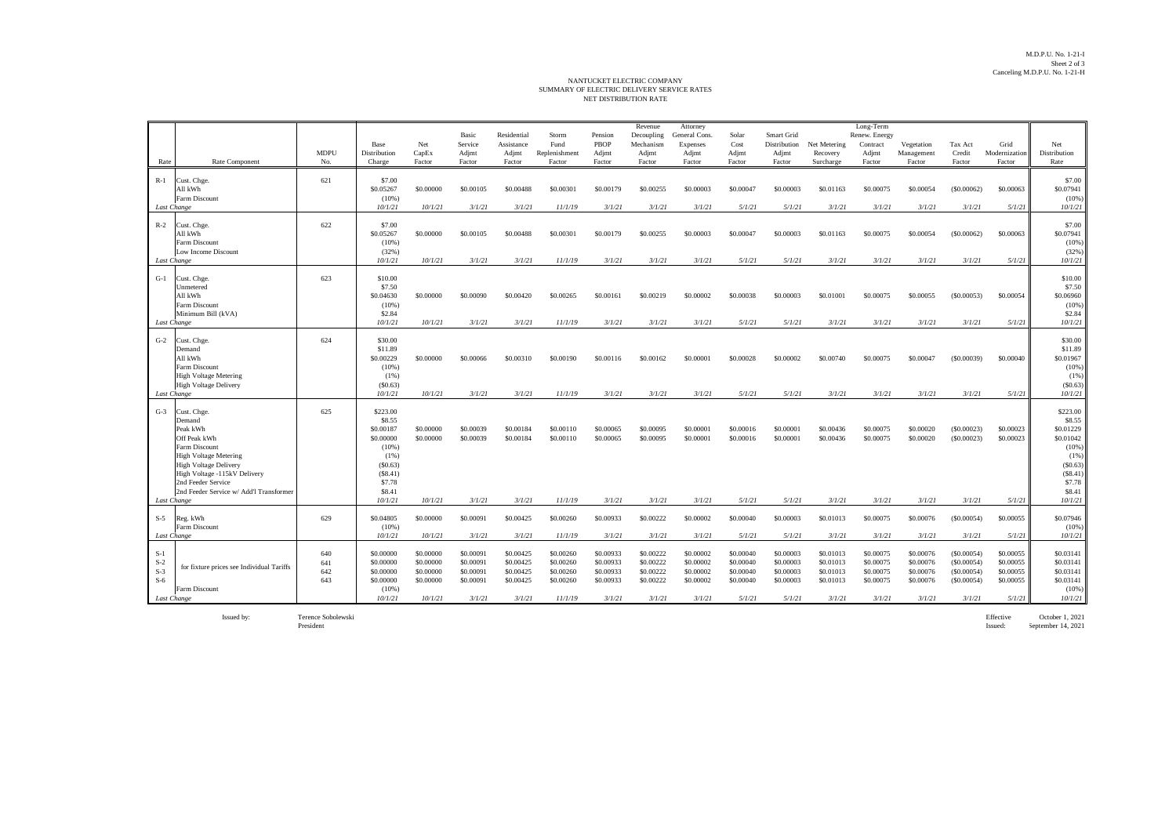## NET DISTRIBUTION RATE NANTUCKET ELECTRIC COMPANY<br>SUMMARY OF ELECTRIC DELIVERY SERVICE RATES

|                                                 |                                                                                                                                                                                                            |                          |                                                                                   |                                                             | Basic                                                      | Residential                                                | Storm                                                       | Pension                                                    | Revenue<br>Decoupling                                      | Attorney<br>General Cons.                                  | Solar                                                      | Smart Grid                                                 |                                                            | Long-Term<br>Renew. Energy                                 |                                                            |                                                                |                                                            |                                                                                         |
|-------------------------------------------------|------------------------------------------------------------------------------------------------------------------------------------------------------------------------------------------------------------|--------------------------|-----------------------------------------------------------------------------------|-------------------------------------------------------------|------------------------------------------------------------|------------------------------------------------------------|-------------------------------------------------------------|------------------------------------------------------------|------------------------------------------------------------|------------------------------------------------------------|------------------------------------------------------------|------------------------------------------------------------|------------------------------------------------------------|------------------------------------------------------------|------------------------------------------------------------|----------------------------------------------------------------|------------------------------------------------------------|-----------------------------------------------------------------------------------------|
|                                                 |                                                                                                                                                                                                            | <b>MDPU</b>              | Base<br>Distribution                                                              | Net<br>CapEx                                                | Service<br>Adjmt                                           | Assistance<br>Adjmt                                        | Fund<br>Replenishment                                       | PBOP<br>Adjmt                                              | Mechanism<br>Adjmt                                         | Expenses<br>Adjmt                                          | Cost<br>Adjmt                                              | Distribution<br>Adjmt                                      | Net Metering<br>Recovery                                   | Contract<br>Adjmt                                          | Vegetation<br>Management                                   | Tax Act<br>Credit                                              | Grid<br>Modernization                                      | Net<br>Distribution                                                                     |
| Rate                                            | Rate Component                                                                                                                                                                                             | No.                      | Charge                                                                            | Factor                                                      | Factor                                                     | Factor                                                     | Factor                                                      | Factor                                                     | Factor                                                     | Factor                                                     | Factor                                                     | Factor                                                     | Surcharge                                                  | Factor                                                     | Factor                                                     | Factor                                                         | Factor                                                     | Rate                                                                                    |
| $R-1$                                           | Cust. Chge.<br>All kWh<br>Farm Discount                                                                                                                                                                    | 621                      | \$7.00<br>\$0.05267<br>(10%)                                                      | \$0,00000                                                   | \$0,00105                                                  | \$0,00488                                                  | \$0,00301                                                   | \$0,00179                                                  | \$0,00255                                                  | \$0,00003                                                  | \$0,00047                                                  | \$0,00003                                                  | \$0.01163                                                  | \$0,00075                                                  | \$0,00054                                                  | (S0,00062)                                                     | \$0,00063                                                  | \$7.00<br>\$0.07941<br>$(10\%)$                                                         |
| Last Change                                     |                                                                                                                                                                                                            |                          | 10/1/21                                                                           | 10/1/21                                                     | 3/1/21                                                     | 3/1/21                                                     | 11/1/19                                                     | 3/1/21                                                     | 3/1/21                                                     | 3/1/21                                                     | 5/1/21                                                     | 5/1/21                                                     | 3/1/21                                                     | 3/1/21                                                     | 3/1/21                                                     | 3/1/21                                                         | 5/1/21                                                     | 10/1/21                                                                                 |
| $R-2$                                           | Cust. Chge.<br>All kWh<br>Farm Discount<br>Low Income Discount<br>Last Change                                                                                                                              | 622                      | \$7.00<br>\$0.05267<br>(10%)<br>(32%)<br>10/1/21                                  | \$0,00000<br>10/1/21                                        | \$0,00105<br>3/1/21                                        | \$0,00488<br>3/1/21                                        | \$0,00301<br>11/1/19                                        | \$0,00179<br>3/1/21                                        | \$0,00255<br>3/1/21                                        | \$0,00003<br>3/1/21                                        | \$0,00047<br>5/1/21                                        | \$0,00003<br>5/1/21                                        | \$0.01163<br>3/1/21                                        | \$0,00075<br>3/1/21                                        | \$0,00054<br>3/1/21                                        | (S0.00062)<br>3/1/21                                           | \$0.00063<br>5/1/21                                        | \$7.00<br>\$0.07941<br>(10%)<br>(32%)<br>10/1/21                                        |
|                                                 |                                                                                                                                                                                                            |                          |                                                                                   |                                                             |                                                            |                                                            |                                                             |                                                            |                                                            |                                                            |                                                            |                                                            |                                                            |                                                            |                                                            |                                                                |                                                            |                                                                                         |
| $G-1$                                           | Cust. Chge.<br>Unmetered<br>All kWh<br>Farm Discount<br>Minimum Bill (kVA)                                                                                                                                 | 623                      | \$10.00<br>\$7.50<br>\$0.04630<br>(10%)<br>\$2.84                                 | \$0,00000                                                   | \$0,00090                                                  | \$0,00420                                                  | \$0.00265                                                   | \$0.00161                                                  | \$0.00219                                                  | \$0,00002                                                  | \$0,00038                                                  | \$0,00003                                                  | \$0.01001                                                  | \$0.00075                                                  | \$0,00055                                                  | (S0,00053)                                                     | \$0,00054                                                  | \$10.00<br>\$7.50<br>\$0.06960<br>(10%)<br>\$2.84                                       |
|                                                 | Last Change                                                                                                                                                                                                |                          | 10/1/21                                                                           | 10/1/21                                                     | 3/1/21                                                     | 3/1/21                                                     | 11/1/19                                                     | 3/1/21                                                     | 3/1/21                                                     | 3/1/21                                                     | 5/1/21                                                     | 5/1/21                                                     | 3/1/21                                                     | 3/1/21                                                     | 3/1/21                                                     | 3/1/21                                                         | 5/1/21                                                     | 10/1/21                                                                                 |
| $G-2$                                           | Cust. Chge.<br>Demand<br>All kWh<br>Farm Discount<br><b>High Voltage Metering</b><br><b>High Voltage Delivery</b><br>Last Change                                                                           | 624                      | \$30.00<br>\$11.89<br>\$0.00229<br>(10%)<br>(1%)<br>(S0.63)<br>10/1/21            | \$0,00000<br>10/1/21                                        | \$0,00066<br>3/1/21                                        | \$0,00310<br>3/1/21                                        | \$0,00190<br>11/1/19                                        | \$0,00116<br>3/1/21                                        | \$0,00162<br>3/1/21                                        | \$0,00001<br>3/1/21                                        | \$0,00028<br>5/1/21                                        | \$0,00002<br>5/1/21                                        | \$0,00740<br>3/1/21                                        | \$0,00075<br>3/1/21                                        | \$0,00047<br>3/1/21                                        | (S0.00039)<br>3/1/21                                           | \$0,00040<br>5/1/21                                        | \$30.00<br>\$11.89<br>\$0.01967<br>$(10\%)$<br>(1%)<br>(S0.63)<br>10/1/21               |
| $G-3$                                           | Cust. Chge.<br>Demand                                                                                                                                                                                      | 625                      | \$223.00<br>\$8.55                                                                |                                                             |                                                            |                                                            |                                                             |                                                            |                                                            |                                                            |                                                            |                                                            |                                                            |                                                            |                                                            |                                                                |                                                            | \$223.00<br>\$8.55                                                                      |
|                                                 | Peak kWh<br>Off Peak kWh<br>Farm Discount<br><b>High Voltage Metering</b><br><b>High Voltage Delivery</b><br>High Voltage -115kV Delivery<br>2nd Feeder Service<br>2nd Feeder Service w/ Add'l Transformer |                          | \$0.00187<br>\$0,00000<br>(10%)<br>(1%)<br>(S0.63)<br>(S8.41)<br>\$7.78<br>\$8.41 | \$0,00000<br>\$0.00000                                      | \$0.00039<br>\$0.00039                                     | \$0.00184<br>\$0.00184                                     | \$0.00110<br>\$0.00110                                      | \$0,00065<br>\$0.00065                                     | \$0.00095<br>\$0.00095                                     | \$0,00001<br>\$0,00001                                     | \$0,00016<br>\$0.00016                                     | \$0,00001<br>\$0.00001                                     | \$0.00436<br>\$0.00436                                     | \$0.00075<br>\$0.00075                                     | \$0,00020<br>\$0.00020                                     | (S0.00023)<br>(S0.00023)                                       | \$0.00023<br>\$0,00023                                     | \$0.01229<br>\$0.01042<br>$(10\%)$<br>$(1\%)$<br>(S0.63)<br>(S8.41)<br>\$7.78<br>\$8.41 |
| Last Change                                     |                                                                                                                                                                                                            |                          | 10/1/21                                                                           | 10/1/21                                                     | 3/1/21                                                     | 3/1/21                                                     | 11/1/19                                                     | 3/1/21                                                     | 3/1/21                                                     | 3/1/21                                                     | 5/1/21                                                     | 5/1/21                                                     | 3/1/21                                                     | 3/1/21                                                     | 3/1/21                                                     | 3/1/21                                                         | 5/1/21                                                     | 10/1/21                                                                                 |
| $S-5$                                           | Reg. kWh<br>Farm Discount                                                                                                                                                                                  | 629                      | \$0.04805<br>(10%)                                                                | \$0.00000                                                   | \$0.00091                                                  | \$0.00425                                                  | \$0.00260                                                   | \$0.00933                                                  | \$0.00222                                                  | \$0.00002                                                  | \$0.00040                                                  | \$0.00003                                                  | \$0.01013                                                  | \$0.00075                                                  | \$0.00076                                                  | (S0.00054)                                                     | \$0.00055                                                  | \$0.07946<br>(10%)                                                                      |
| Last Change                                     |                                                                                                                                                                                                            |                          | 10/1/21                                                                           | 10/1/21                                                     | 3/1/21                                                     | 3/1/21                                                     | 11/1/19                                                     | 3/1/21                                                     | 3/1/21                                                     | 3/1/21                                                     | 5/1/21                                                     | 5/1/21                                                     | 3/1/21                                                     | 3/1/21                                                     | 3/1/21                                                     | 3/1/21                                                         | 5/1/21                                                     | 10/1/21                                                                                 |
| $S-1$<br>$S-2$<br>$S-3$<br>$S-6$<br>Last Change | for fixture prices see Individual Tariffs<br>Farm Discount                                                                                                                                                 | 640<br>641<br>642<br>643 | \$0,00000<br>\$0,00000<br>\$0.00000<br>\$0,00000<br>(10%)<br>10/1/21              | \$0,00000<br>\$0.00000<br>\$0.00000<br>\$0.00000<br>10/1/21 | \$0,00091<br>\$0.00091<br>\$0.00091<br>\$0,00091<br>3/1/21 | \$0,00425<br>\$0.00425<br>\$0.00425<br>\$0.00425<br>3/1/21 | \$0,00260<br>\$0.00260<br>\$0.00260<br>\$0.00260<br>11/1/19 | \$0,00933<br>\$0.00933<br>\$0.00933<br>\$0,00933<br>3/1/21 | \$0,00222<br>\$0.00222<br>\$0.00222<br>\$0.00222<br>3/1/21 | \$0,00002<br>\$0.00002<br>\$0.00002<br>\$0,00002<br>3/1/21 | \$0,00040<br>\$0.00040<br>\$0.00040<br>\$0,00040<br>5/1/21 | \$0,00003<br>\$0.00003<br>\$0.00003<br>\$0,00003<br>5/1/21 | \$0.01013<br>\$0.01013<br>\$0.01013<br>\$0.01013<br>3/1/21 | \$0,00075<br>\$0.00075<br>\$0.00075<br>\$0.00075<br>3/1/21 | \$0,00076<br>\$0.00076<br>\$0.00076<br>\$0.00076<br>3/1/21 | (S0.00054)<br>(S0.00054)<br>(S0.00054)<br>(S0.00054)<br>3/1/21 | \$0,00055<br>\$0.00055<br>\$0.00055<br>\$0,00055<br>5/1/21 | \$0.03141<br>\$0.03141<br>\$0.03141<br>\$0.03141<br>(10%<br>10/1/21                     |

Issued by: Terence Sobolewski

President

Effective October 1, 2021<br>Issued: September 14, 2021 September 14, 2021